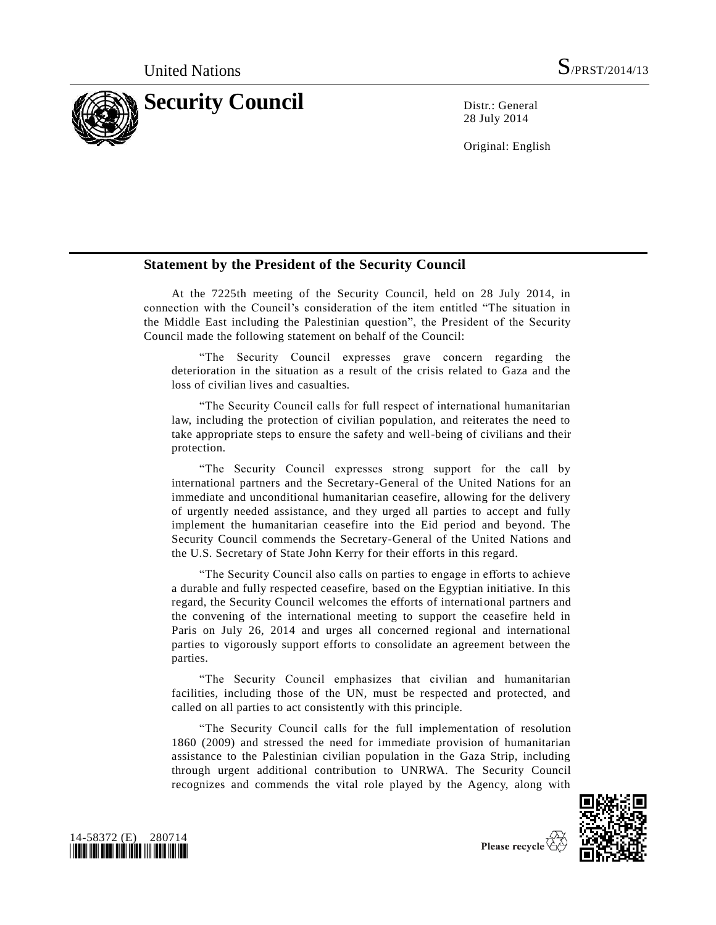

28 July 2014

Original: English

## **Statement by the President of the Security Council**

At the 7225th meeting of the Security Council, held on 28 July 2014, in connection with the Council's consideration of the item entitled "The situation in the Middle East including the Palestinian question", the President of the Security Council made the following statement on behalf of the Council:

"The Security Council expresses grave concern regarding the deterioration in the situation as a result of the crisis related to Gaza and the loss of civilian lives and casualties.

"The Security Council calls for full respect of international humanitarian law, including the protection of civilian population, and reiterates the need to take appropriate steps to ensure the safety and well-being of civilians and their protection.

"The Security Council expresses strong support for the call by international partners and the Secretary-General of the United Nations for an immediate and unconditional humanitarian ceasefire, allowing for the delivery of urgently needed assistance, and they urged all parties to accept and fully implement the humanitarian ceasefire into the Eid period and beyond. The Security Council commends the Secretary-General of the United Nations and the U.S. Secretary of State John Kerry for their efforts in this regard.

"The Security Council also calls on parties to engage in efforts to achieve a durable and fully respected ceasefire, based on the Egyptian initiative. In this regard, the Security Council welcomes the efforts of international partners and the convening of the international meeting to support the ceasefire held in Paris on July 26, 2014 and urges all concerned regional and international parties to vigorously support efforts to consolidate an agreement between the parties.

"The Security Council emphasizes that civilian and humanitarian facilities, including those of the UN, must be respected and protected, and called on all parties to act consistently with this principle.

"The Security Council calls for the full implementation of resolution [1860 \(2009\)](http://undocs.org/S/RES/1860(2009)) and stressed the need for immediate provision of humanitarian assistance to the Palestinian civilian population in the Gaza Strip, including through urgent additional contribution to UNRWA. The Security Council recognizes and commends the vital role played by the Agency, along with